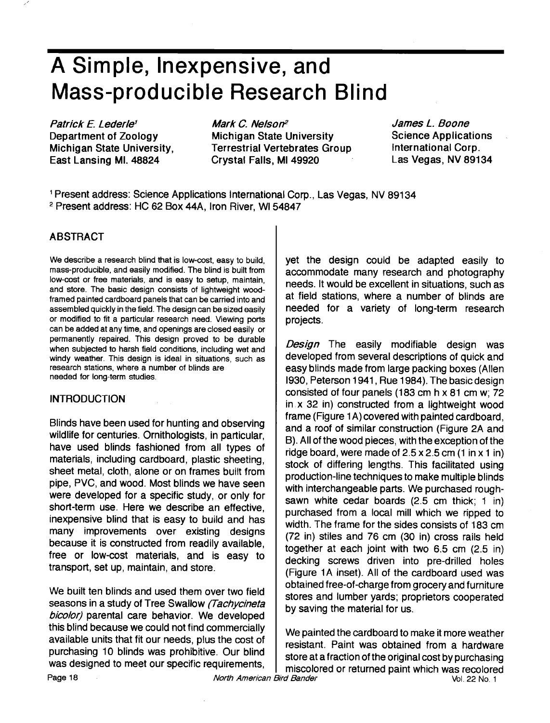# **A Simple, Inexpensive, and Mass-producible Research Blind**

**Patrick E. Lederle<sup>1</sup> Department of Zoology Michigan State University, East Lansing MI. 48824** 

Mark C. Nelson<sup>2</sup> **Michigan State University Terrestrial Vertebrates Group Crystal Falls, MI 49920** 

**James L. Boone Science Applications International Corp. Las Vegas, NV 89134** 

**Present address: Science Applications International Corp., Las Vegas, NV 89134 Present address: HC 62 Box 44A, Iron River, W154847** 

### **ABSTRACT**

**We describe a research blind that is low-cost, easy to build, mass-producible, and easily modified. The blind is built from low-cost or free materials, and is easy to setup, maintain, and store. The basic design consists of lightweight woodframed painted cardboard panels that can be carried into and assembled quickly in the field. The design can be sized easily or modified to fit a particular research need. Viewing ports can be added at any time, and openings are closed easily or permanently repaired. This design proved to be durable when subjected to harsh field conditions, including wet and windy weather. This design is ideal in situations, such as research stations, where a number of blinds are needed for long-term studies.** 

#### **INTRODUCTION**

**Blinds have been used for hunting and observing wildlife for centuries. Ornithologists, in particular, have used blinds fashioned from all types of materials, including cardboard, plastic sheeting, sheet metal, cloth, alone or on frames built from pipe, PVC, and wood. Most blinds we have seen were developed for a specific study, or only for short-term use. Here we describe an effective, inexpensive blind that is easy to build and has many improvements over existing designs because it is constructed from readily available, free or low-cost materials, and is easy to transport, set up, maintain, and store.** 

**We built ten blinds and used them over two field**  seasons in a study of Tree Swallow (Tachycineta bicolor) parental care behavior. We developed **this blind because we could not find commercially available units that fit our needs, plus the cost of purchasing 10 blinds was prohibitive. Our blind was designed to meet our specific requirements,** 

**yet the design could be adapted easily to accommodate many research and photography needs. It would be excellent in situations, such as at field stations, where a number of blinds are needed for a variety of long-term research projects.** 

**Design The easily modifiable design was developed from several descriptions of quick and easy blinds made from large packing boxes (Allen 1930, Peterson 1941, Rue 1984). The basic design consisted of four panels (183 cm h x 81 cm w; 72 in.x 32 in) constructed from a lightweight wood frame (Figure 1 A) covered with painted cardboard, and a roof of similar construction (Figure 2A and B). All of the wood pieces, with the exception of the ridge board, were made of 2.5 x 2.5 cm (1 in x 1 in) stock of differing lengths. This facilitated using production-line techniques to make multiple blinds with interchangeable parts. We purchased roughsawn white cedar boards (2.5 cm thick; 1 in) purchased from a local mill which we ripped to width. The frame for the sides consists of 183 cm (72 in) stiles and 76 cm (30 in) cross rails held together at each joint with two 6.5 cm (2.5 in) decking screws driven into pre-drilled holes (Figure 1A inset). All of the cardboard used was obtained free-of-charge from grocery and furniture stores and lumber yards; proprietors cooperated by saving the material for us.** 

**We painted the cardboard to make it more weather resistant. Paint was obtained from a hardware store at a fraction of the original cost by purchasing miscolored or returned paint which was recolored**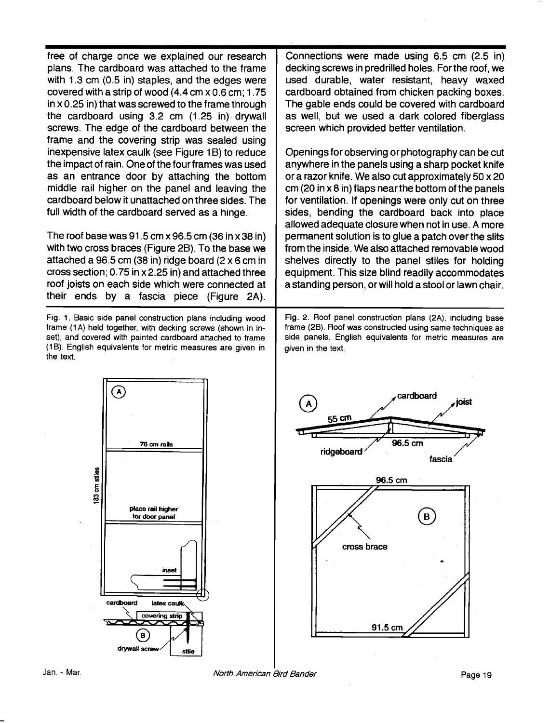**free of charge once we explained our research plans. The cardboard was attached to the frame with 1.3 cm (0.5 in) staples, and the edges were covered with a strip of wood (4.4 cm x 0.6 cm; 1.75 in x 0.25 in) that was screwed to the frame through the cardboard using 3.2 cm (1.25 in), drywall screws. The edge of the cardboard between the frame and the covering strip was sealed using inexpensive latex caulk (see Figure 1 B) to reduce the impact of rain. One of the four frames was used as an entrance door by attaching the bottom middle rail higher on the panel and leaving the cardboard below it unattached on three sides. The full width of the cardboard served as a hinge.** 

**The roof base was 91.5 cm x 96.5 cm (36 in x 38 in) with two cross braces (Figure 2B). To the base we attached a 96.5 cm (38 in) ridge board (2 x 6 cm in cross section; 0.75 in x 2.25 in) and attached three roof joists on each side which were connected at their ends by a fascia piece (Figure 2A).** 

**Fig. 1. Basic side panel construction plans including wood frame (1 A) held together, with decking screws (shown in inset), and covered with painted cardboard attached to frame (lB). English equivalents for metric measures are given in the text.** 

**Connections were made using 6.5 cm (2.5 in) decking screws in predrilled holes. For the roof, we used durable, water resistant, heavy waxed cardboard obtained from chicken packing boxes. The gable ends could be covered with cardboard as well, but we used a dark colored fiberglass screen which provided better ventilation.** 

**Openings for observing or photography can be cut anywhere in the panels using a sharp pocket knife or a razor knife. We also cut approximately 50 x 20 cm (20 in x 8 in) flaps near the bottom of the panels for ventilation. If openings were only cut on three sides, bending the cardboard back into place allowed adequate closure when not in use. A more permanent solution is to glue a patch over the slits from the inside. We also attached removable wood shelves directly to the panel stiles for holding equipment. This size blind readily accommodates a standing person, or will hold a stool or lawn chair.** 

**Fig. 2. Roof panel construction plans (2A), including base frame (2B). Roof was constructed using same techniques as side panels. English equivalents for metric measures are given in the text.** 



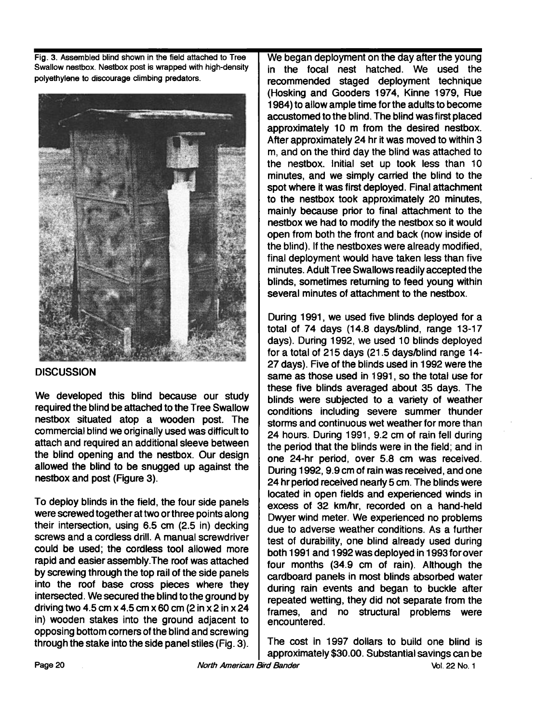**Fig. 3. Assembled blind shown in the field attached to Tree Swallow nestbox. Nestbox post is wrapped with high-density polyethylene to discourage climbing predators.** 



#### **DISCUSSION**

**We developed this blind because our study required the blind be attached to the Tree Swallow nestbox situated atop a wooden post. The**  commercial blind we originally used was difficult to **attach and required an additional sleeve between the blind opening and the nestbox. Our design allowed the blind to be snugged up against the nestbox and post (Figure 3).** 

**To deploy blinds in the field, the four side panels were screwed together at two or three points along their intersection, using 6.5 cm (2.5 in) decking screws and a cordless drill. A manual screwdriver could be used; the cordless tool allowed more rapid and easier assembly. The roof was attached by screwing through the top rail of the side panels into the roof base cross pieces where they intersected. We secured the blind to the ground by driving two 4.5 cm x 4.5 cm x 60 cm (2 in x 2 in x 24 in) wooden stakes into the ground adjacent to opposing bottom comers of the blind and screwing through the stake into the side panel stiles (Fig. 3).** 

**We began deployment on the day after the young in the focal nest hatched. We used the recommended staged deployment technique (Hosking and Gooders 1974, Kinne 1979, Rue 1984) to allow ample time for the adults to become accustomed to the blind. The blind was first placed approximately 10 m from the desired nestbox. After approximately 24 hr it was moved to within 3 m, and on the third day the blind was attached to the nestbox. Initial set up took less than 10 minutes, and we simply carried the blind to the spot where it was first deployed. Final attachment to the nestbox took approximately 20 minutes,**  mainly because prior to final attachment to the **nestbox we had to modify the nestbox so it would open from both the front and back (now inside of the blind). If the nestboxes were already modified, final deployment would have taken less than five minutes. Adult Tree Swallows readily accepted the blinds, sometimes returning to feed young within several minutes of attachment to the nestbox.** 

During 1991, we used five blinds deployed for a **total of 74 days (14.8 days/blind, range 13-17**  days). During 1992, we used 10 blinds deployed **for a total of 215 days (21.5 days/blind range 14- 27 days). Five of the blinds used in 1992 were the same as those used in 1991, so the total use for these five blinds averaged about 35 days. The**  blinds were subjected to a variety of weather **conditions including severe summer thunder storms and continuous wet weather for more than**  24 hours. During 1991, 9.2 cm of rain fell during the period that the blinds were in the field; and in one 24-hr period, over 5.8 cm was received. During 1992, 9.9 cm of rain was received, and one 24 hr period received nearly 5 cm. The blinds were **located in open fields and experienced winds in excess of 32. km/hr, recorded on a hand-held Dwyer wind meter. We experienced no problems due to adverse weather conditions. As a further**  test of durability, one blind already used during **both 1991 and 1992 was deployed in 1993 forover four months (34.9 cm of rain). Although the cardboard panels in most blinds absorbed water**  during rain events and began to buckle after **repeated wetting, they did not separate from the frames, and no structural problems were encountered.** 

**The cost in 1997 dollars to build one blind is approximately \$30.00. Substantial savings can be**